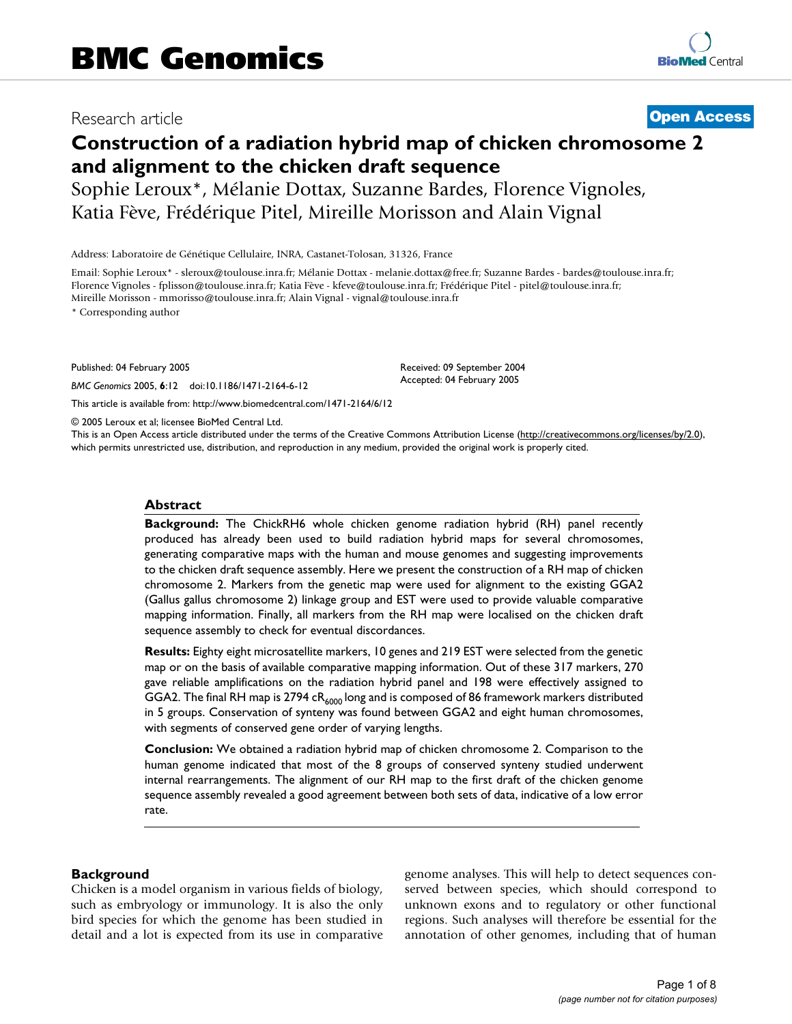# Research article **[Open Access](http://www.biomedcentral.com/info/about/charter/)**

# **Construction of a radiation hybrid map of chicken chromosome 2 and alignment to the chicken draft sequence**

Sophie Leroux\*, Mélanie Dottax, Suzanne Bardes, Florence Vignoles, Katia Fève, Frédérique Pitel, Mireille Morisson and Alain Vignal

Address: Laboratoire de Génétique Cellulaire, INRA, Castanet-Tolosan, 31326, France

Email: Sophie Leroux\* - sleroux@toulouse.inra.fr; Mélanie Dottax - melanie.dottax@free.fr; Suzanne Bardes - bardes@toulouse.inra.fr; Florence Vignoles - fplisson@toulouse.inra.fr; Katia Fève - kfeve@toulouse.inra.fr; Frédérique Pitel - pitel@toulouse.inra.fr; Mireille Morisson - mmorisso@toulouse.inra.fr; Alain Vignal - vignal@toulouse.inra.fr

\* Corresponding author

Published: 04 February 2005

*BMC Genomics* 2005, **6**:12 doi:10.1186/1471-2164-6-12

[This article is available from: http://www.biomedcentral.com/1471-2164/6/12](http://www.biomedcentral.com/1471-2164/6/12)

© 2005 Leroux et al; licensee BioMed Central Ltd.

This is an Open Access article distributed under the terms of the Creative Commons Attribution License [\(http://creativecommons.org/licenses/by/2.0\)](http://creativecommons.org/licenses/by/2.0), which permits unrestricted use, distribution, and reproduction in any medium, provided the original work is properly cited.

Received: 09 September 2004 Accepted: 04 February 2005

#### **Abstract**

**Background:** The ChickRH6 whole chicken genome radiation hybrid (RH) panel recently produced has already been used to build radiation hybrid maps for several chromosomes, generating comparative maps with the human and mouse genomes and suggesting improvements to the chicken draft sequence assembly. Here we present the construction of a RH map of chicken chromosome 2. Markers from the genetic map were used for alignment to the existing GGA2 (Gallus gallus chromosome 2) linkage group and EST were used to provide valuable comparative mapping information. Finally, all markers from the RH map were localised on the chicken draft sequence assembly to check for eventual discordances.

**Results:** Eighty eight microsatellite markers, 10 genes and 219 EST were selected from the genetic map or on the basis of available comparative mapping information. Out of these 317 markers, 270 gave reliable amplifications on the radiation hybrid panel and 198 were effectively assigned to GGA2. The final RH map is 2794  $cR_{6000}$  long and is composed of 86 framework markers distributed in 5 groups. Conservation of synteny was found between GGA2 and eight human chromosomes, with segments of conserved gene order of varying lengths.

**Conclusion:** We obtained a radiation hybrid map of chicken chromosome 2. Comparison to the human genome indicated that most of the 8 groups of conserved synteny studied underwent internal rearrangements. The alignment of our RH map to the first draft of the chicken genome sequence assembly revealed a good agreement between both sets of data, indicative of a low error rate.

#### **Background**

Chicken is a model organism in various fields of biology, such as embryology or immunology. It is also the only bird species for which the genome has been studied in detail and a lot is expected from its use in comparative genome analyses. This will help to detect sequences conserved between species, which should correspond to unknown exons and to regulatory or other functional regions. Such analyses will therefore be essential for the annotation of other genomes, including that of human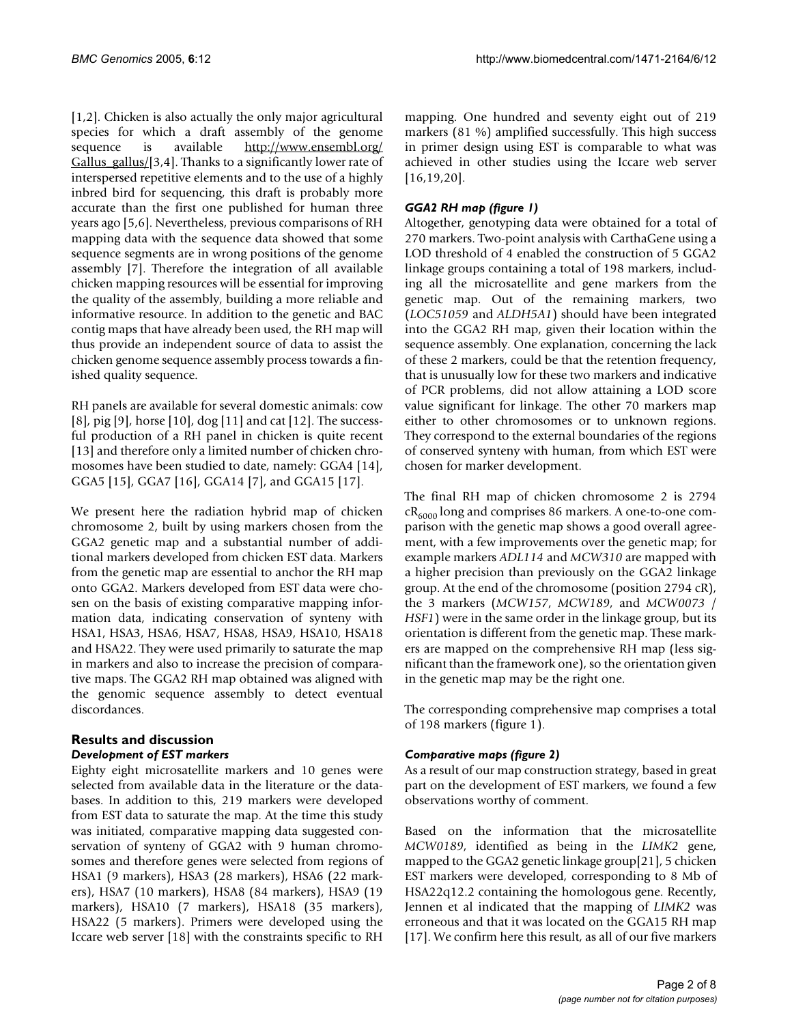[1,2]. Chicken is also actually the only major agricultural species for which a draft assembly of the genome sequence is available [http://www.ensembl.org/](http://www.ensembl.org/Gallus_gallus/) [Gallus\\_gallus/](http://www.ensembl.org/Gallus_gallus/)[3,4]. Thanks to a significantly lower rate of interspersed repetitive elements and to the use of a highly inbred bird for sequencing, this draft is probably more accurate than the first one published for human three years ago [5,6]. Nevertheless, previous comparisons of RH mapping data with the sequence data showed that some sequence segments are in wrong positions of the genome assembly [7]. Therefore the integration of all available chicken mapping resources will be essential for improving the quality of the assembly, building a more reliable and informative resource. In addition to the genetic and BAC contig maps that have already been used, the RH map will thus provide an independent source of data to assist the chicken genome sequence assembly process towards a finished quality sequence.

RH panels are available for several domestic animals: cow [8], pig [9], horse [10], dog [11] and cat [12]. The successful production of a RH panel in chicken is quite recent [13] and therefore only a limited number of chicken chromosomes have been studied to date, namely: GGA4 [14], GGA5 [15], GGA7 [16], GGA14 [7], and GGA15 [17].

We present here the radiation hybrid map of chicken chromosome 2, built by using markers chosen from the GGA2 genetic map and a substantial number of additional markers developed from chicken EST data. Markers from the genetic map are essential to anchor the RH map onto GGA2. Markers developed from EST data were chosen on the basis of existing comparative mapping information data, indicating conservation of synteny with HSA1, HSA3, HSA6, HSA7, HSA8, HSA9, HSA10, HSA18 and HSA22. They were used primarily to saturate the map in markers and also to increase the precision of comparative maps. The GGA2 RH map obtained was aligned with the genomic sequence assembly to detect eventual discordances.

#### **Results and discussion** *Development of EST markers*

Eighty eight microsatellite markers and 10 genes were selected from available data in the literature or the databases. In addition to this, 219 markers were developed from EST data to saturate the map. At the time this study was initiated, comparative mapping data suggested conservation of synteny of GGA2 with 9 human chromosomes and therefore genes were selected from regions of HSA1 (9 markers), HSA3 (28 markers), HSA6 (22 markers), HSA7 (10 markers), HSA8 (84 markers), HSA9 (19 markers), HSA10 (7 markers), HSA18 (35 markers), HSA22 (5 markers). Primers were developed using the Iccare web server [18] with the constraints specific to RH

mapping. One hundred and seventy eight out of 219 markers (81 %) amplified successfully. This high success in primer design using EST is comparable to what was achieved in other studies using the Iccare web server [16,19,20].

# *GGA2 RH map (figure [1\)](#page-2-0)*

Altogether, genotyping data were obtained for a total of 270 markers. Two-point analysis with CarthaGene using a LOD threshold of 4 enabled the construction of 5 GGA2 linkage groups containing a total of 198 markers, including all the microsatellite and gene markers from the genetic map. Out of the remaining markers, two (*LOC51059* and *ALDH5A1*) should have been integrated into the GGA2 RH map, given their location within the sequence assembly. One explanation, concerning the lack of these 2 markers, could be that the retention frequency, that is unusually low for these two markers and indicative of PCR problems, did not allow attaining a LOD score value significant for linkage. The other 70 markers map either to other chromosomes or to unknown regions. They correspond to the external boundaries of the regions of conserved synteny with human, from which EST were chosen for marker development.

The final RH map of chicken chromosome 2 is 2794  $CR_{6000}$  long and comprises 86 markers. A one-to-one comparison with the genetic map shows a good overall agreement, with a few improvements over the genetic map; for example markers *ADL114* and *MCW310* are mapped with a higher precision than previously on the GGA2 linkage group. At the end of the chromosome (position 2794 cR), the 3 markers (*MCW157*, *MCW189*, and *MCW0073* / *HSF1*) were in the same order in the linkage group, but its orientation is different from the genetic map. These markers are mapped on the comprehensive RH map (less significant than the framework one), so the orientation given in the genetic map may be the right one.

The corresponding comprehensive map comprises a total of 198 markers (figure [1](#page-2-0)).

## *Comparative maps (figure [2\)](#page-3-0)*

As a result of our map construction strategy, based in great part on the development of EST markers, we found a few observations worthy of comment.

Based on the information that the microsatellite *MCW0189*, identified as being in the *LIMK2* gene, mapped to the GGA2 genetic linkage group[21], 5 chicken EST markers were developed, corresponding to 8 Mb of HSA22q12.2 containing the homologous gene. Recently, Jennen et al indicated that the mapping of *LIMK2* was erroneous and that it was located on the GGA15 RH map [17]. We confirm here this result, as all of our five markers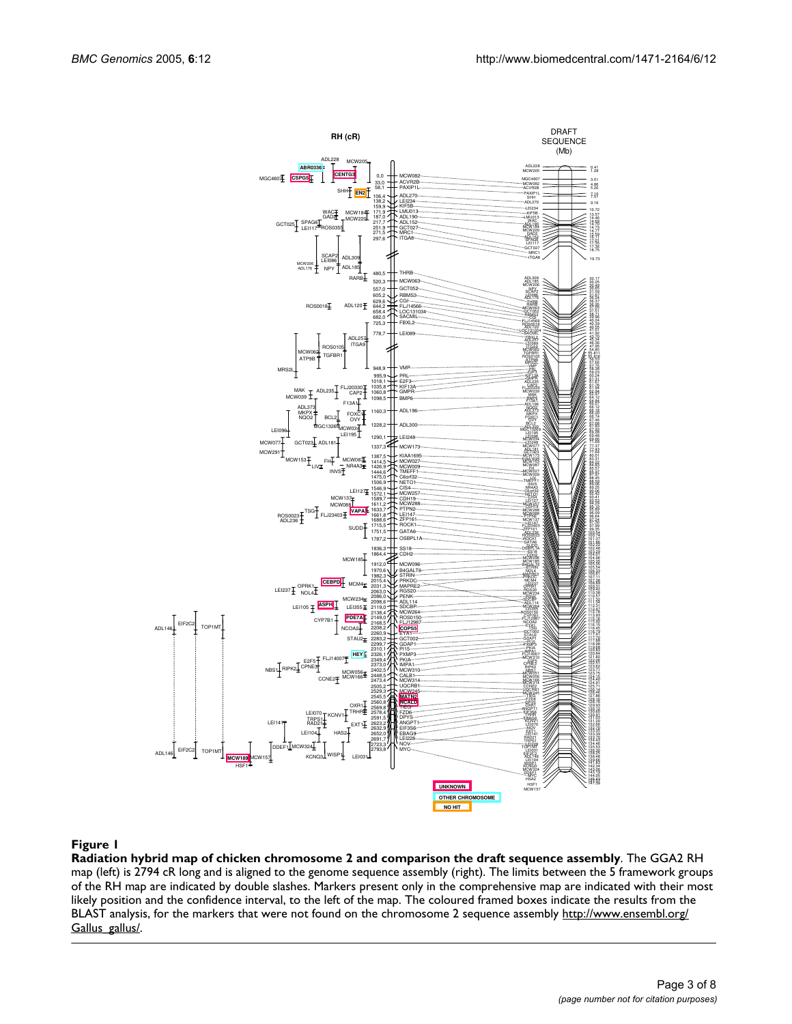<span id="page-2-0"></span>

**Radiation hybrid map of chicken chromosome 2 and comparison the draft sequence assembly**. The GGA2 RH map (left) is 2794 cR long and is aligned to the genome sequence assembly (right). The limits between the 5 framework groups of the RH map are indicated by double slashes. Markers present only in the comprehensive map are indicated with their most likely position and the confidence interval, to the left of the map. The coloured framed boxes indicate the results from the BLAST analysis, for the markers that were not found on the chromosome 2 sequence assembly [http://www.ensembl.org/](http://www.ensembl.org/Gallus_gallus/) [Gallus\\_gallus/](http://www.ensembl.org/Gallus_gallus/).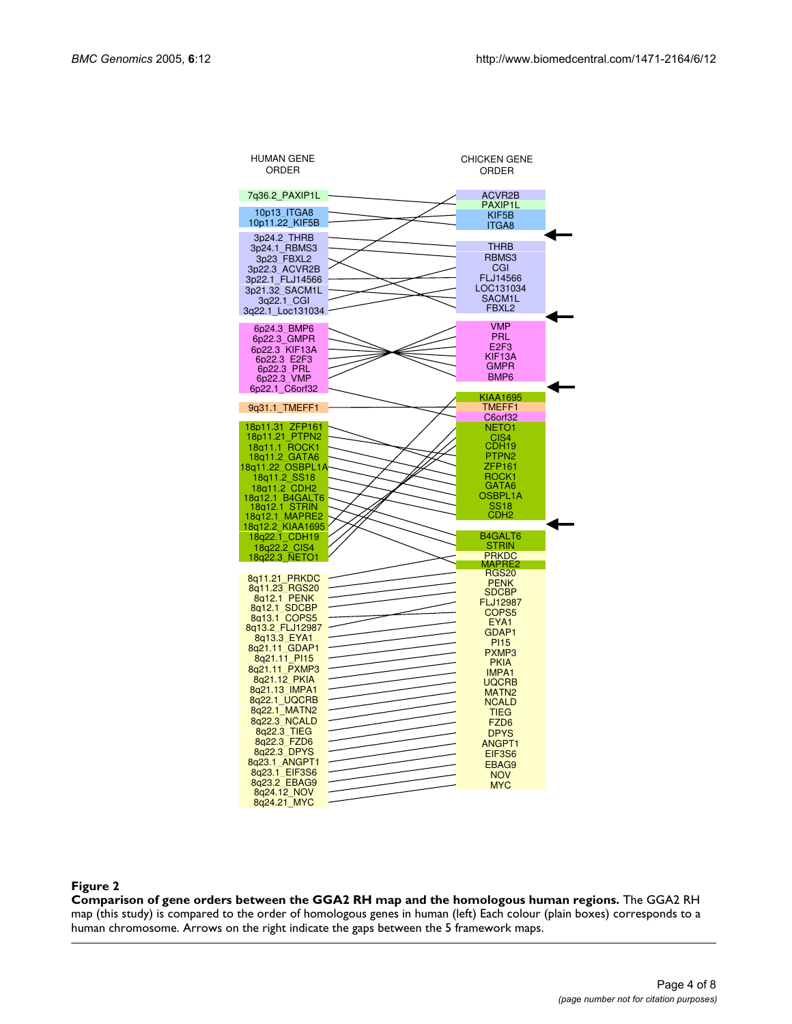<span id="page-3-0"></span>

| <b>HUMAN GENE</b><br>ORDER         | <b>CHICKEN GENE</b><br>ORDER |  |
|------------------------------------|------------------------------|--|
| 7q36.2 PAXIP1L                     | <b>ACVR2B</b>                |  |
| 10p13 ITGA8                        | PAXIP1L                      |  |
| 10p11.22_KIF5B                     | KIF5B                        |  |
|                                    | <b>ITGA8</b>                 |  |
| 3p24.2 THRB                        | <b>THRB</b>                  |  |
| 3p24.1 RBMS3                       | RBMS3                        |  |
| 3p23 FBXL2                         |                              |  |
| 3p22.3 ACVR2B                      | CGI<br>FLJ14566              |  |
| 3p22.1 FLJ14566                    | LOC131034                    |  |
| 3p21.32 SACM1L<br>3q22.1 CGI       | SACM1L                       |  |
| 3q22.1 Loc131034                   | FBXL <sub>2</sub>            |  |
|                                    |                              |  |
| 6p24.3 BMP6                        | <b>VMP</b>                   |  |
| 6p22.3 GMPR                        | <b>PRL</b>                   |  |
| 6p22.3 KIF13A                      | E <sub>2F3</sub>             |  |
| 6p22.3 E2F3                        | KIF13A                       |  |
| 6p22.3 PRL                         | <b>GMPR</b>                  |  |
| 6p22.3 VMP                         | BMP <sub>6</sub>             |  |
| 6p22.1 C6orf32                     | <b>KIAA1695</b>              |  |
| 9q31.1 TMEFF1                      | TMEFF1                       |  |
|                                    | C6orf32                      |  |
| 18p11.31 ZFP161                    | NETO <sub>1</sub>            |  |
| 18p11.21 PTPN2                     | CIS4                         |  |
| 18a11.1 ROCK1                      | CDH19                        |  |
| 18q11.2 GATA6                      | PTPN <sub>2</sub>            |  |
| 18g11.22 OSBPL1A                   | ZFP161<br>ROCK <sub>1</sub>  |  |
| 18q11.2_SS18<br>18q11.2 CDH2       | GATA6                        |  |
| 18q12.1 B4GALT6                    | OSBPL1A                      |  |
| 18a12.1 STRIN                      | <b>SS18</b>                  |  |
| 18q12.1 MAPRE2<br>18q12.2_KIAA1695 | CDH <sub>2</sub>             |  |
|                                    |                              |  |
| 18q22.1 CDH19                      | B4GALT6<br>STRIN             |  |
| 18q22.2_CIS4                       | <b>PRKDC</b>                 |  |
| 18q22.3 NETO1                      | MAPRE2                       |  |
| 8q11.21 PRKDC                      | <b>RGS20</b>                 |  |
| 8q11.23 RGS20                      | <b>PENK</b>                  |  |
| 8a12.1 PENK                        | SDCBP<br><b>FLJ12987</b>     |  |
| 8q12.1 SDCBP                       | COPS <sub>5</sub>            |  |
| 8q13.1 COPS5                       | EYA1                         |  |
| 8q13.2 FLJ12987                    | GDAP1                        |  |
| 8q13.3 EYA1<br>8q21.11 GDAP1       | <b>PI15</b>                  |  |
| 8q21.11_PI15                       | PXMP3                        |  |
| 8q21.11 PXMP3                      | <b>PKIA</b>                  |  |
| 8q21.12 PKIA                       | <b>IMPA1</b><br>UQCRB        |  |
| 8q21.13_IMPA1                      | MATN <sub>2</sub>            |  |
| 8q22.1 UQCRB                       | <b>NCALD</b>                 |  |
| 8q22.1 MATN2                       | <b>TIEG</b>                  |  |
| 8q22.3 NCALD                       | FZD <sub>6</sub>             |  |
| 8q22.3 TIEG                        | <b>DPYS</b>                  |  |
| 8q22.3 FZD6                        | ANGPT1                       |  |
| 8q22.3 DPYS                        | EIF3S6                       |  |
| 8q23.1 ANGPT1<br>8q23.1 EIF3S6     | EBAG9                        |  |
| 8q23.2 EBAG9                       | <b>NOV</b>                   |  |
|                                    |                              |  |
| 8q24.12 NOV                        | <b>MYC</b>                   |  |

#### Comparison of gene orders between the GGA **Figure 2** 2 RH map and the homologous human regions

**Comparison of gene orders between the GGA2 RH map and the homologous human regions.** The GGA2 RH map (this study) is compared to the order of homologous genes in human (left) Each colour (plain boxes) corresponds to a human chromosome. Arrows on the right indicate the gaps between the 5 framework maps.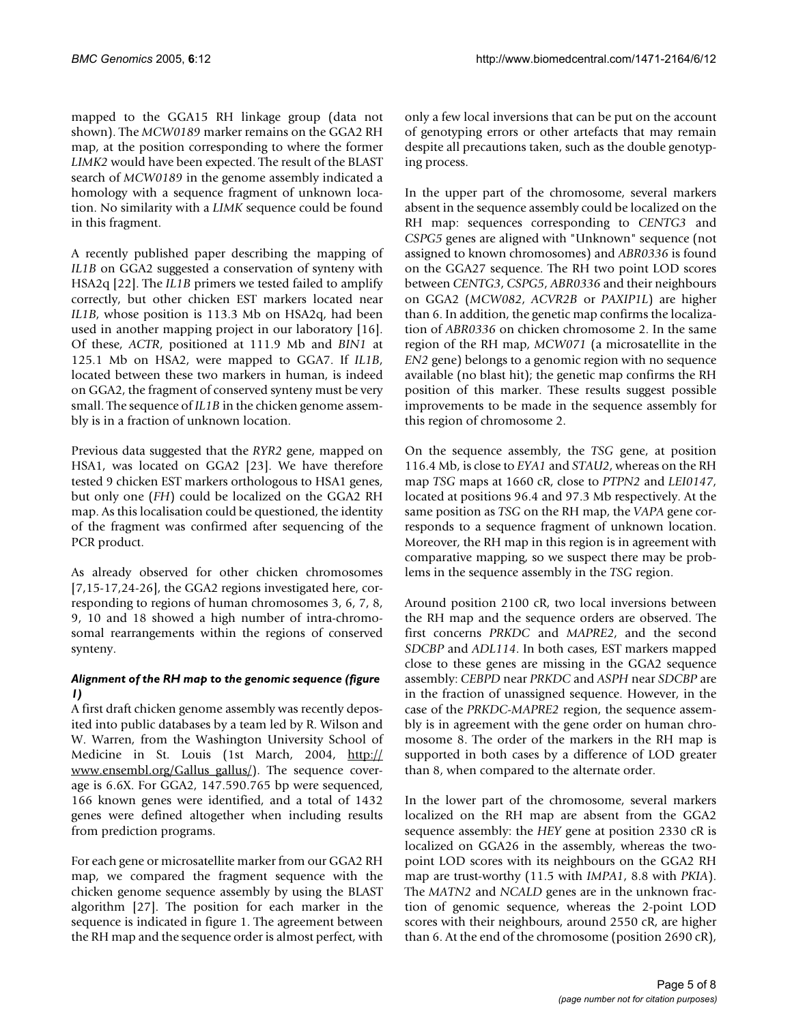mapped to the GGA15 RH linkage group (data not shown). The *MCW0189* marker remains on the GGA2 RH map, at the position corresponding to where the former *LIMK2* would have been expected. The result of the BLAST search of *MCW0189* in the genome assembly indicated a homology with a sequence fragment of unknown location. No similarity with a *LIMK* sequence could be found in this fragment.

A recently published paper describing the mapping of *IL1B* on GGA2 suggested a conservation of synteny with HSA2q [22]. The *IL1B* primers we tested failed to amplify correctly, but other chicken EST markers located near *IL1B*, whose position is 113.3 Mb on HSA2q, had been used in another mapping project in our laboratory [16]. Of these, *ACTR*, positioned at 111.9 Mb and *BIN1* at 125.1 Mb on HSA2, were mapped to GGA7. If *IL1B*, located between these two markers in human, is indeed on GGA2, the fragment of conserved synteny must be very small. The sequence of *IL1B* in the chicken genome assembly is in a fraction of unknown location.

Previous data suggested that the *RYR2* gene, mapped on HSA1, was located on GGA2 [23]. We have therefore tested 9 chicken EST markers orthologous to HSA1 genes, but only one (*FH*) could be localized on the GGA2 RH map. As this localisation could be questioned, the identity of the fragment was confirmed after sequencing of the PCR product.

As already observed for other chicken chromosomes [7,15-17,24-26], the GGA2 regions investigated here, corresponding to regions of human chromosomes 3, 6, 7, 8, 9, 10 and 18 showed a high number of intra-chromosomal rearrangements within the regions of conserved synteny.

# *Alignment of the RH map to the genomic sequence (figure [1](#page-2-0))*

A first draft chicken genome assembly was recently deposited into public databases by a team led by R. Wilson and W. Warren, from the Washington University School of Medicine in St. Louis (1st March, 2004, [http://](http://www.ensembl.org/Gallus_gallus/) www.ensembl.org/Gallus gallus/). The sequence coverage is 6.6X. For GGA2, 147.590.765 bp were sequenced, 166 known genes were identified, and a total of 1432 genes were defined altogether when including results from prediction programs.

For each gene or microsatellite marker from our GGA2 RH map, we compared the fragment sequence with the chicken genome sequence assembly by using the BLAST algorithm [27]. The position for each marker in the sequence is indicated in figure [1](#page-2-0). The agreement between the RH map and the sequence order is almost perfect, with only a few local inversions that can be put on the account of genotyping errors or other artefacts that may remain despite all precautions taken, such as the double genotyping process.

In the upper part of the chromosome, several markers absent in the sequence assembly could be localized on the RH map: sequences corresponding to *CENTG3* and *CSPG5* genes are aligned with "Unknown" sequence (not assigned to known chromosomes) and *ABR0336* is found on the GGA27 sequence. The RH two point LOD scores between *CENTG3*, *CSPG5*, *ABR0336* and their neighbours on GGA2 (*MCW082*, *ACVR2B* or *PAXIP1L*) are higher than 6. In addition, the genetic map confirms the localization of *ABR0336* on chicken chromosome 2. In the same region of the RH map, *MCW071* (a microsatellite in the *EN2* gene) belongs to a genomic region with no sequence available (no blast hit); the genetic map confirms the RH position of this marker. These results suggest possible improvements to be made in the sequence assembly for this region of chromosome 2.

On the sequence assembly, the *TSG* gene, at position 116.4 Mb, is close to *EYA1* and *STAU2*, whereas on the RH map *TSG* maps at 1660 cR, close to *PTPN2* and *LEI0147*, located at positions 96.4 and 97.3 Mb respectively. At the same position as *TSG* on the RH map, the *VAPA* gene corresponds to a sequence fragment of unknown location. Moreover, the RH map in this region is in agreement with comparative mapping, so we suspect there may be problems in the sequence assembly in the *TSG* region.

Around position 2100 cR, two local inversions between the RH map and the sequence orders are observed. The first concerns *PRKDC* and *MAPRE2*, and the second *SDCBP* and *ADL114*. In both cases, EST markers mapped close to these genes are missing in the GGA2 sequence assembly: *CEBPD* near *PRKDC* and *ASPH* near *SDCBP* are in the fraction of unassigned sequence. However, in the case of the *PRKDC*-*MAPRE2* region, the sequence assembly is in agreement with the gene order on human chromosome 8. The order of the markers in the RH map is supported in both cases by a difference of LOD greater than 8, when compared to the alternate order.

In the lower part of the chromosome, several markers localized on the RH map are absent from the GGA2 sequence assembly: the *HEY* gene at position 2330 cR is localized on GGA26 in the assembly, whereas the twopoint LOD scores with its neighbours on the GGA2 RH map are trust-worthy (11.5 with *IMPA1*, 8.8 with *PKIA*). The *MATN2* and *NCALD* genes are in the unknown fraction of genomic sequence, whereas the 2-point LOD scores with their neighbours, around 2550 cR, are higher than 6. At the end of the chromosome (position 2690 cR),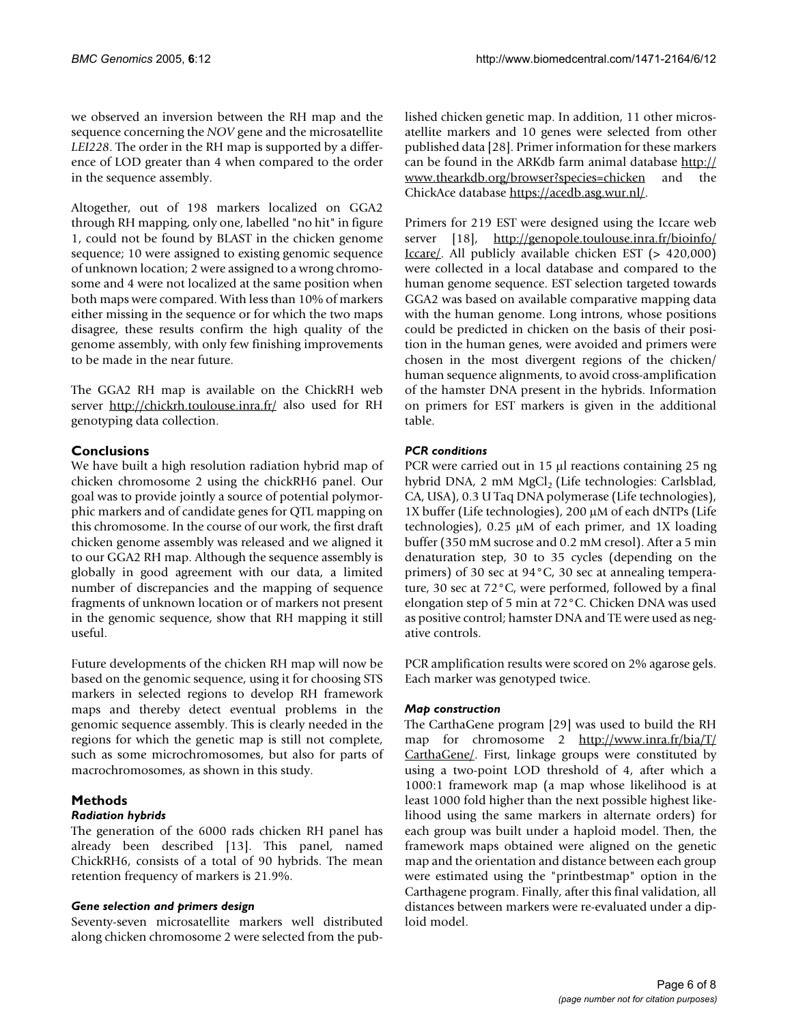we observed an inversion between the RH map and the sequence concerning the *NOV* gene and the microsatellite *LEI228*. The order in the RH map is supported by a difference of LOD greater than 4 when compared to the order in the sequence assembly.

Altogether, out of 198 markers localized on GGA2 through RH mapping, only one, labelled "no hit" in figure [1,](#page-2-0) could not be found by BLAST in the chicken genome sequence; 10 were assigned to existing genomic sequence of unknown location; 2 were assigned to a wrong chromosome and 4 were not localized at the same position when both maps were compared. With less than 10% of markers either missing in the sequence or for which the two maps disagree, these results confirm the high quality of the genome assembly, with only few finishing improvements to be made in the near future.

The GGA2 RH map is available on the ChickRH web server <http://chickrh.toulouse.inra.fr/>also used for RH genotyping data collection.

# **Conclusions**

We have built a high resolution radiation hybrid map of chicken chromosome 2 using the chickRH6 panel. Our goal was to provide jointly a source of potential polymorphic markers and of candidate genes for QTL mapping on this chromosome. In the course of our work, the first draft chicken genome assembly was released and we aligned it to our GGA2 RH map. Although the sequence assembly is globally in good agreement with our data, a limited number of discrepancies and the mapping of sequence fragments of unknown location or of markers not present in the genomic sequence, show that RH mapping it still useful.

Future developments of the chicken RH map will now be based on the genomic sequence, using it for choosing STS markers in selected regions to develop RH framework maps and thereby detect eventual problems in the genomic sequence assembly. This is clearly needed in the regions for which the genetic map is still not complete, such as some microchromosomes, but also for parts of macrochromosomes, as shown in this study.

# **Methods**

## *Radiation hybrids*

The generation of the 6000 rads chicken RH panel has already been described [13]. This panel, named ChickRH6, consists of a total of 90 hybrids. The mean retention frequency of markers is 21.9%.

## *Gene selection and primers design*

Seventy-seven microsatellite markers well distributed along chicken chromosome 2 were selected from the published chicken genetic map. In addition, 11 other microsatellite markers and 10 genes were selected from other published data [28]. Primer information for these markers can be found in the ARKdb farm animal database [http://](http://www.thearkdb.org/browser?species=chicken) [www.thearkdb.org/browser?species=chicken](http://www.thearkdb.org/browser?species=chicken) and the ChickAce database [https://acedb.asg.wur.nl/.](https://acedb.asg.wur.nl/)

Primers for 219 EST were designed using the Iccare web server [18], [http://genopole.toulouse.inra.fr/bioinfo/](http://genopole.toulouse.inra.fr/bioinfo/Iccare/) [Iccare/.](http://genopole.toulouse.inra.fr/bioinfo/Iccare/) All publicly available chicken EST (> 420,000) were collected in a local database and compared to the human genome sequence. EST selection targeted towards GGA2 was based on available comparative mapping data with the human genome. Long introns, whose positions could be predicted in chicken on the basis of their position in the human genes, were avoided and primers were chosen in the most divergent regions of the chicken/ human sequence alignments, to avoid cross-amplification of the hamster DNA present in the hybrids. Information on primers for EST markers is given in the additional table.

# *PCR conditions*

PCR were carried out in 15 µl reactions containing 25 ng hybrid DNA, 2 mM MgCl<sub>2</sub> (Life technologies: Carlsblad, CA, USA), 0.3 U Taq DNA polymerase (Life technologies), 1X buffer (Life technologies), 200 µM of each dNTPs (Life technologies), 0.25 µM of each primer, and 1X loading buffer (350 mM sucrose and 0.2 mM cresol). After a 5 min denaturation step, 30 to 35 cycles (depending on the primers) of 30 sec at 94°C, 30 sec at annealing temperature, 30 sec at 72°C, were performed, followed by a final elongation step of 5 min at 72°C. Chicken DNA was used as positive control; hamster DNA and TE were used as negative controls.

PCR amplification results were scored on 2% agarose gels. Each marker was genotyped twice.

## *Map construction*

The CarthaGene program [29] was used to build the RH map for chromosome 2 [http://www.inra.fr/bia/T/](http://www.inra.fr/bia/T/CarthaGene/) [CarthaGene/](http://www.inra.fr/bia/T/CarthaGene/). First, linkage groups were constituted by using a two-point LOD threshold of 4, after which a 1000:1 framework map (a map whose likelihood is at least 1000 fold higher than the next possible highest likelihood using the same markers in alternate orders) for each group was built under a haploid model. Then, the framework maps obtained were aligned on the genetic map and the orientation and distance between each group were estimated using the "printbestmap" option in the Carthagene program. Finally, after this final validation, all distances between markers were re-evaluated under a diploid model.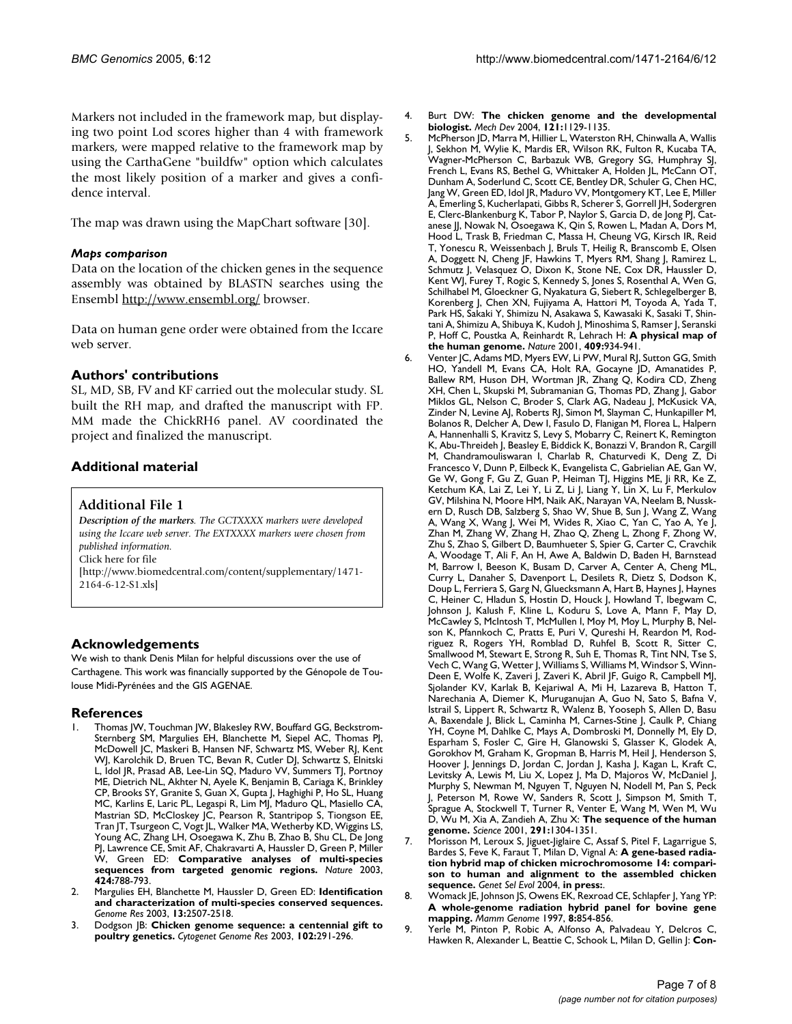Markers not included in the framework map, but displaying two point Lod scores higher than 4 with framework markers, were mapped relative to the framework map by using the CarthaGene "buildfw" option which calculates the most likely position of a marker and gives a confidence interval.

The map was drawn using the MapChart software [30].

#### *Maps comparison*

Data on the location of the chicken genes in the sequence assembly was obtained by BLASTN searches using the Ensembl<http://www.ensembl.org/> browser.

Data on human gene order were obtained from the Iccare web server.

#### **Authors' contributions**

SL, MD, SB, FV and KF carried out the molecular study. SL built the RH map, and drafted the manuscript with FP. MM made the ChickRH6 panel. AV coordinated the project and finalized the manuscript.

# **Additional material**

## **Additional File 1**

*Description of the markers. The GCTXXXX markers were developed using the Iccare web server. The EXTXXXX markers were chosen from published information.* Click here for file [\[http://www.biomedcentral.com/content/supplementary/1471-](http://www.biomedcentral.com/content/supplementary/1471-2164-6-12-S1.xls) 2164-6-12-S1.xls]

#### **Acknowledgements**

We wish to thank Denis Milan for helpful discussions over the use of Carthagene. This work was financially supported by the Génopole de Toulouse Midi-Pyrénées and the GIS AGENAE.

#### **References**

- Thomas JW, Touchman JW, Blakesley RW, Bouffard GG, Beckstrom-Sternberg SM, Margulies EH, Blanchette M, Siepel AC, Thomas PJ, McDowell JC, Maskeri B, Hansen NF, Schwartz MS, Weber RJ, Kent WJ, Karolchik D, Bruen TC, Bevan R, Cutler DJ, Schwartz S, Elnitski L, Idol JR, Prasad AB, Lee-Lin SQ, Maduro VV, Summers TJ, Portnoy ME, Dietrich NL, Akhter N, Ayele K, Benjamin B, Cariaga K, Brinkley CP, Brooks SY, Granite S, Guan X, Gupta J, Haghighi P, Ho SL, Huang MC, Karlins E, Laric PL, Legaspi R, Lim MJ, Maduro QL, Masiello CA, Mastrian SD, McCloskey JC, Pearson R, Stantripop S, Tiongson EE, Tran JT, Tsurgeon C, Vogt JL, Walker MA, Wetherby KD, Wiggins LS, Young AC, Zhang LH, Osoegawa K, Zhu B, Zhao B, Shu CL, De Jong PJ, Lawrence CE, Smit AF, Chakravarti A, Haussler D, Green P, Miller W, Green ED: **[Comparative analyses of multi-species](http://www.ncbi.nlm.nih.gov/entrez/query.fcgi?cmd=Retrieve&db=PubMed&dopt=Abstract&list_uids=12917688) [sequences from targeted genomic regions.](http://www.ncbi.nlm.nih.gov/entrez/query.fcgi?cmd=Retrieve&db=PubMed&dopt=Abstract&list_uids=12917688)** *Nature* 2003, **424:**788-793.
- 2. Margulies EH, Blanchette M, Haussler D, Green ED: **[Identification](http://www.ncbi.nlm.nih.gov/entrez/query.fcgi?cmd=Retrieve&db=PubMed&dopt=Abstract&list_uids=14656959) [and characterization of multi-species conserved sequences.](http://www.ncbi.nlm.nih.gov/entrez/query.fcgi?cmd=Retrieve&db=PubMed&dopt=Abstract&list_uids=14656959)** *Genome Res* 2003, **13:**2507-2518.
- 3. Dodgson JB: **[Chicken genome sequence: a centennial gift to](http://www.ncbi.nlm.nih.gov/entrez/query.fcgi?cmd=Retrieve&db=PubMed&dopt=Abstract&list_uids=14970719) [poultry genetics.](http://www.ncbi.nlm.nih.gov/entrez/query.fcgi?cmd=Retrieve&db=PubMed&dopt=Abstract&list_uids=14970719)** *Cytogenet Genome Res* 2003, **102:**291-296.
- 4. Burt DW: **[The chicken genome and the developmental](http://www.ncbi.nlm.nih.gov/entrez/query.fcgi?cmd=Retrieve&db=PubMed&dopt=Abstract&list_uids=15296976) [biologist.](http://www.ncbi.nlm.nih.gov/entrez/query.fcgi?cmd=Retrieve&db=PubMed&dopt=Abstract&list_uids=15296976)** *Mech Dev* 2004, **121:**1129-1135.
- 5. McPherson JD, Marra M, Hillier L, Waterston RH, Chinwalla A, Wallis J, Sekhon M, Wylie K, Mardis ER, Wilson RK, Fulton R, Kucaba TA, Wagner-McPherson C, Barbazuk WB, Gregory SG, Humphray SJ, French L, Evans RS, Bethel G, Whittaker A, Holden JL, McCann OT, Dunham A, Soderlund C, Scott CE, Bentley DR, Schuler G, Chen HC, Jang W, Green ED, Idol JR, Maduro VV, Montgomery KT, Lee E, Miller A, Emerling S, Kucherlapati, Gibbs R, Scherer S, Gorrell JH, Sodergren E, Clerc-Blankenburg K, Tabor P, Naylor S, Garcia D, de Jong PJ, Catanese JJ, Nowak N, Osoegawa K, Qin S, Rowen L, Madan A, Dors M, Hood L, Trask B, Friedman C, Massa H, Cheung VG, Kirsch IR, Reid T, Yonescu R, Weissenbach J, Bruls T, Heilig R, Branscomb E, Olsen A, Doggett N, Cheng JF, Hawkins T, Myers RM, Shang J, Ramirez L, Schmutz J, Velasquez O, Dixon K, Stone NE, Cox DR, Haussler D, Kent WJ, Furey T, Rogic S, Kennedy S, Jones S, Rosenthal A, Wen G, Schilhabel M, Gloeckner G, Nyakatura G, Siebert R, Schlegelberger B, Korenberg J, Chen XN, Fujiyama A, Hattori M, Toyoda A, Yada T, Park HS, Sakaki Y, Shimizu N, Asakawa S, Kawasaki K, Sasaki T, Shintani A, Shimizu A, Shibuya K, Kudoh J, Minoshima S, Ramser J, Seranski P, Hoff C, Poustka A, Reinhardt R, Lehrach H: **[A physical map of](http://www.ncbi.nlm.nih.gov/entrez/query.fcgi?cmd=Retrieve&db=PubMed&dopt=Abstract&list_uids=11237014) [the human genome.](http://www.ncbi.nlm.nih.gov/entrez/query.fcgi?cmd=Retrieve&db=PubMed&dopt=Abstract&list_uids=11237014)** *Nature* 2001, **409:**934-941.
- 6. Venter JC, Adams MD, Myers EW, Li PW, Mural RJ, Sutton GG, Smith HO, Yandell M, Evans CA, Holt RA, Gocayne JD, Amanatides P, Ballew RM, Huson DH, Wortman JR, Zhang Q, Kodira CD, Zheng XH, Chen L, Skupski M, Subramanian G, Thomas PD, Zhang J, Gabor Miklos GL, Nelson C, Broder S, Clark AG, Nadeau J, McKusick VA, Zinder N, Levine AJ, Roberts RJ, Simon M, Slayman C, Hunkapiller M, Bolanos R, Delcher A, Dew I, Fasulo D, Flanigan M, Florea L, Halpern A, Hannenhalli S, Kravitz S, Levy S, Mobarry C, Reinert K, Remington K, Abu-Threideh J, Beasley E, Biddick K, Bonazzi V, Brandon R, Cargill M, Chandramouliswaran I, Charlab R, Chaturvedi K, Deng Z, Di Francesco V, Dunn P, Eilbeck K, Evangelista C, Gabrielian AE, Gan W, Ge W, Gong F, Gu Z, Guan P, Heiman TJ, Higgins ME, Ji RR, Ke Z, Ketchum KA, Lai Z, Lei Y, Li Z, Li J, Liang Y, Lin X, Lu F, Merkulov GV, Milshina N, Moore HM, Naik AK, Narayan VA, Neelam B, Nusskern D, Rusch DB, Salzberg S, Shao W, Shue B, Sun J, Wang Z, Wang A, Wang X, Wang J, Wei M, Wides R, Xiao C, Yan C, Yao A, Ye J, Zhan M, Zhang W, Zhang H, Zhao Q, Zheng L, Zhong F, Zhong W, Zhu S, Zhao S, Gilbert D, Baumhueter S, Spier G, Carter C, Cravchik A, Woodage T, Ali F, An H, Awe A, Baldwin D, Baden H, Barnstead M, Barrow I, Beeson K, Busam D, Carver A, Center A, Cheng ML, Curry L, Danaher S, Davenport L, Desilets R, Dietz S, Dodson K, Doup L, Ferriera S, Garg N, Gluecksmann A, Hart B, Haynes J, Haynes C, Heiner C, Hladun S, Hostin D, Houck J, Howland T, Ibegwam C, Johnson J, Kalush F, Kline L, Koduru S, Love A, Mann F, May D, McCawley S, McIntosh T, McMullen I, Moy M, Moy L, Murphy B, Nelson K, Pfannkoch C, Pratts E, Puri V, Qureshi H, Reardon M, Rodriguez R, Rogers YH, Romblad D, Ruhfel B, Scott R, Sitter C, Smallwood M, Stewart E, Strong R, Suh E, Thomas R, Tint NN, Tse S, Vech C, Wang G, Wetter J, Williams S, Williams M, Windsor S, Winn-Deen E, Wolfe K, Zaveri J, Zaveri K, Abril JF, Guigo R, Campbell MJ, Sjolander KV, Karlak B, Kejariwal A, Mi H, Lazareva B, Hatton T, Narechania A, Diemer K, Muruganujan A, Guo N, Sato S, Bafna V, Istrail S, Lippert R, Schwartz R, Walenz B, Yooseph S, Allen D, Basu A, Baxendale J, Blick L, Caminha M, Carnes-Stine J, Caulk P, Chiang YH, Coyne M, Dahlke C, Mays A, Dombroski M, Donnelly M, Ely D, Esparham S, Fosler C, Gire H, Glanowski S, Glasser K, Glodek A, Gorokhov M, Graham K, Gropman B, Harris M, Heil J, Henderson S, Hoover J, Jennings D, Jordan C, Jordan J, Kasha J, Kagan L, Kraft C, Levitsky A, Lewis M, Liu X, Lopez J, Ma D, Majoros W, McDaniel J, Murphy S, Newman M, Nguyen T, Nguyen N, Nodell M, Pan S, Peck J, Peterson M, Rowe W, Sanders R, Scott J, Simpson M, Smith T, Sprague A, Stockwell T, Turner R, Venter E, Wang M, Wen M, Wu D, Wu M, Xia A, Zandieh A, Zhu X: **[The sequence of the human](http://www.ncbi.nlm.nih.gov/entrez/query.fcgi?cmd=Retrieve&db=PubMed&dopt=Abstract&list_uids=11181995) [genome.](http://www.ncbi.nlm.nih.gov/entrez/query.fcgi?cmd=Retrieve&db=PubMed&dopt=Abstract&list_uids=11181995)** *Science* 2001, **291:**1304-1351.
- 7. Morisson M, Leroux S, Jiguet-Jiglaire C, Assaf S, Pitel F, Lagarrigue S, Bardes S, Feve K, Faraut T, Milan D, Vignal A: **A gene-based radiation hybrid map of chicken microchromosome 14: comparison to human and alignment to the assembled chicken sequence.** *Genet Sel Evol* 2004, **in press:**.
- 8. Womack JE, Johnson JS, Owens EK, Rexroad CE, Schlapfer J, Yang YP: **[A whole-genome radiation hybrid panel for bovine gene](http://www.ncbi.nlm.nih.gov/entrez/query.fcgi?cmd=Retrieve&db=PubMed&dopt=Abstract&list_uids=9337401) [mapping.](http://www.ncbi.nlm.nih.gov/entrez/query.fcgi?cmd=Retrieve&db=PubMed&dopt=Abstract&list_uids=9337401)** *Mamm Genome* 1997, **8:**854-856.
- 9. Yerle M, Pinton P, Robic A, Alfonso A, Palvadeau Y, Delcros C, Hawken R, Alexander L, Beattie C, Schook L, Milan D, Gellin J: **[Con](http://www.ncbi.nlm.nih.gov/entrez/query.fcgi?cmd=Retrieve&db=PubMed&dopt=Abstract&list_uids=9858812)-**